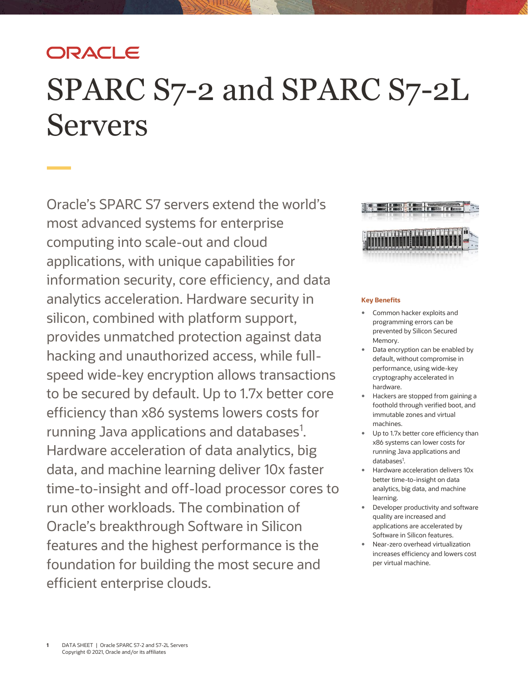## ORACLE

# SPARC S7-2 and SPARC S7-2L Servers

Oracle's SPARC S7 servers extend the world's most advanced systems for enterprise computing into scale-out and cloud applications, with unique capabilities for information security, core efficiency, and data analytics acceleration. Hardware security in silicon, combined with platform support, provides unmatched protection against data hacking and unauthorized access, while fullspeed wide-key encryption allows transactions to be secured by default. Up to 1.7x better core efficiency than x86 systems lowers costs for running Java applications and databases<sup>1</sup>. Hardware acceleration of data analytics, big data, and machine learning deliver 10x faster time-to-insight and off-load processor cores to run other workloads. The combination of Oracle's breakthrough Software in Silicon features and the highest performance is the foundation for building the most secure and efficient enterprise clouds.



#### **Key Benefits**

- Common hacker exploits and programming errors can be prevented by Silicon Secured Memory.
- Data encryption can be enabled by default, without compromise in performance, using wide-key cryptography accelerated in hardware.
- Hackers are stopped from gaining a foothold through verified boot, and immutable zones and virtual machines.
- Up to 1.7x better core efficiency than x86 systems can lower costs for running Java applications and databases<sup>1</sup>.
- Hardware acceleration delivers 10x better time-to-insight on data analytics, big data, and machine learning.
- Developer productivity and software quality are increased and applications are accelerated by Software in Silicon features.
- Near-zero overhead virtualization increases efficiency and lowers cost per virtual machine.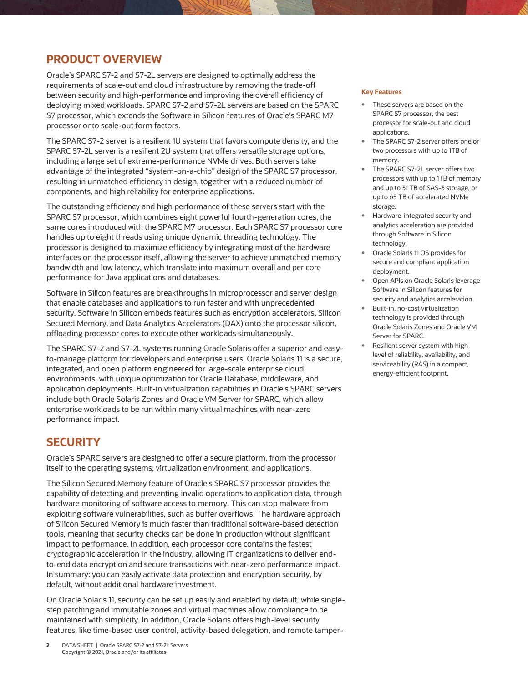## **PRODUCT OVERVIEW**

Oracle's SPARC S7-2 and S7-2L servers are designed to optimally address the requirements of scale-out and cloud infrastructure by removing the trade-off between security and high-performance and improving the overall efficiency of deploying mixed workloads. SPARC S7-2 and S7-2L servers are based on the SPARC S7 processor, which extends the Software in Silicon features of Oracle's SPARC M7 processor onto scale-out form factors.

The SPARC S7-2 server is a resilient 1U system that favors compute density, and the SPARC S7-2L server is a resilient 2U system that offers versatile storage options, including a large set of extreme-performance NVMe drives. Both servers take advantage of the integrated "system-on-a-chip" design of the SPARC S7 processor, resulting in unmatched efficiency in design, together with a reduced number of components, and high reliability for enterprise applications.

The outstanding efficiency and high performance of these servers start with the SPARC S7 processor, which combines eight powerful fourth-generation cores, the same cores introduced with the SPARC M7 processor. Each SPARC S7 processor core handles up to eight threads using unique dynamic threading technology. The processor is designed to maximize efficiency by integrating most of the hardware interfaces on the processor itself, allowing the server to achieve unmatched memory bandwidth and low latency, which translate into maximum overall and per core performance for Java applications and databases.

Software in Silicon features are breakthroughs in microprocessor and server design that enable databases and applications to run faster and with unprecedented security. Software in Silicon embeds features such as encryption accelerators, Silicon Secured Memory, and Data Analytics Accelerators (DAX) onto the processor silicon, offloading processor cores to execute other workloads simultaneously.

The SPARC S7-2 and S7-2L systems running Oracle Solaris offer a superior and easyto-manage platform for developers and enterprise users. Oracle Solaris 11 is a secure, integrated, and open platform engineered for large-scale enterprise cloud environments, with unique optimization for Oracle Database, middleware, and application deployments. Built-in virtualization capabilities in Oracle's SPARC servers include both Oracle Solaris Zones and Oracle VM Server for SPARC, which allow enterprise workloads to be run within many virtual machines with near-zero performance impact.

## **SECURITY**

Oracle's SPARC servers are designed to offer a secure platform, from the processor itself to the operating systems, virtualization environment, and applications.

The Silicon Secured Memory feature of Oracle's SPARC S7 processor provides the capability of detecting and preventing invalid operations to application data, through hardware monitoring of software access to memory. This can stop malware from exploiting software vulnerabilities, such as buffer overflows. The hardware approach of Silicon Secured Memory is much faster than traditional software-based detection tools, meaning that security checks can be done in production without significant impact to performance. In addition, each processor core contains the fastest cryptographic acceleration in the industry, allowing IT organizations to deliver endto-end data encryption and secure transactions with near-zero performance impact. In summary: you can easily activate data protection and encryption security, by default, without additional hardware investment.

On Oracle Solaris 11, security can be set up easily and enabled by default, while singlestep patching and immutable zones and virtual machines allow compliance to be maintained with simplicity. In addition, Oracle Solaris offers high-level security features, like time-based user control, activity-based delegation, and remote tamper-

#### **Key Features**

- These servers are based on the SPARC S7 processor, the best processor for scale-out and cloud applications.
- The SPARC S7-2 server offers one or two processors with up to 1TB of memory.
- The SPARC S7-2L server offers two processors with up to 1TB of memory and up to 31 TB of SAS-3 storage, or up to 65 TB of accelerated NVMe storage.
- Hardware-integrated security and analytics acceleration are provided through Software in Silicon technology.
- Oracle Solaris 11 OS provides for secure and compliant application deployment.
- Open APIs on Oracle Solaris leverage Software in Silicon features for security and analytics acceleration.
- Built-in, no-cost virtualization technology is provided through Oracle Solaris Zones and Oracle VM Server for SPARC.
- Resilient server system with high level of reliability, availability, and serviceability (RAS) in a compact, energy-efficient footprint.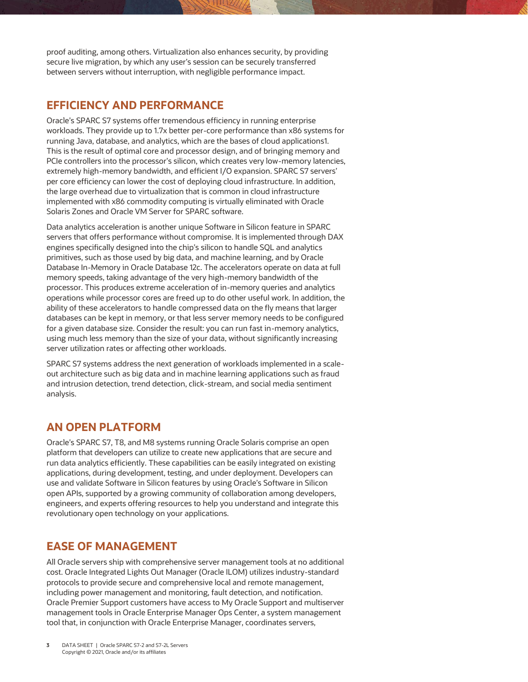proof auditing, among others. Virtualization also enhances security, by providing secure live migration, by which any user's session can be securely transferred between servers without interruption, with negligible performance impact.

## **EFFICIENCY AND PERFORMANCE**

Oracle's SPARC S7 systems offer tremendous efficiency in running enterprise workloads. They provide up to 1.7x better per-core performance than x86 systems for running Java, database, and analytics, which are the bases of cloud applications1. This is the result of optimal core and processor design, and of bringing memory and PCIe controllers into the processor's silicon, which creates very low-memory latencies, extremely high-memory bandwidth, and efficient I/O expansion. SPARC S7 servers' per core efficiency can lower the cost of deploying cloud infrastructure. In addition, the large overhead due to virtualization that is common in cloud infrastructure implemented with x86 commodity computing is virtually eliminated with Oracle Solaris Zones and Oracle VM Server for SPARC software.

Data analytics acceleration is another unique Software in Silicon feature in SPARC servers that offers performance without compromise. It is implemented through DAX engines specifically designed into the chip's silicon to handle SQL and analytics primitives, such as those used by big data, and machine learning, and by Oracle Database In-Memory in Oracle Database 12c. The accelerators operate on data at full memory speeds, taking advantage of the very high-memory bandwidth of the processor. This produces extreme acceleration of in-memory queries and analytics operations while processor cores are freed up to do other useful work. In addition, the ability of these accelerators to handle compressed data on the fly means that larger databases can be kept in memory, or that less server memory needs to be configured for a given database size. Consider the result: you can run fast in-memory analytics, using much less memory than the size of your data, without significantly increasing server utilization rates or affecting other workloads.

SPARC S7 systems address the next generation of workloads implemented in a scaleout architecture such as big data and in machine learning applications such as fraud and intrusion detection, trend detection, click-stream, and social media sentiment analysis.

## **AN OPEN PLATFORM**

Oracle's SPARC S7, T8, and M8 systems running Oracle Solaris comprise an open platform that developers can utilize to create new applications that are secure and run data analytics efficiently. These capabilities can be easily integrated on existing applications, during development, testing, and under deployment. Developers can use and validate Software in Silicon features by using Oracle's Software in Silicon open APIs, supported by a growing community of collaboration among developers, engineers, and experts offering resources to help you understand and integrate this revolutionary open technology on your applications.

## **EASE OF MANAGEMENT**

All Oracle servers ship with comprehensive server management tools at no additional cost. Oracle Integrated Lights Out Manager (Oracle ILOM) utilizes industry-standard protocols to provide secure and comprehensive local and remote management, including power management and monitoring, fault detection, and notification. Oracle Premier Support customers have access to My Oracle Support and multiserver management tools in Oracle Enterprise Manager Ops Center, a system management tool that, in conjunction with Oracle Enterprise Manager, coordinates servers,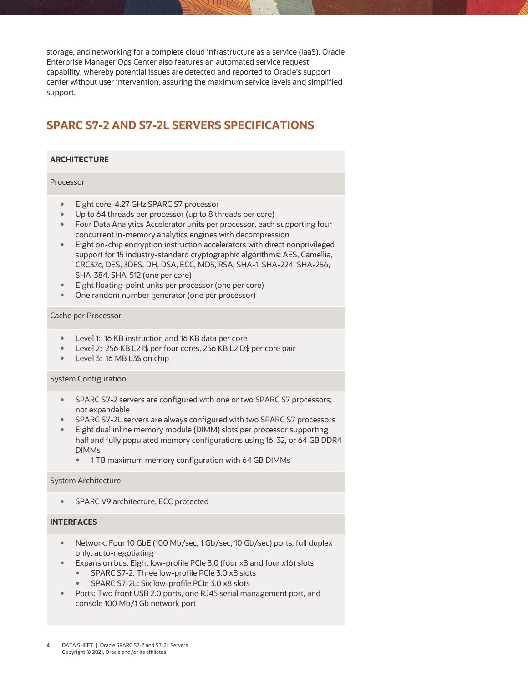storage, and networking for a complete cloud infrastructure as a service (IaaS). Oracle Enterprise Manager Ops Center also features an automated service request capability, whereby potential issues are detected and reported to Oracle's support center without user intervention, assuring the maximum service levels and simplified support.

## **SPARC S7-2 AND S7-2L SERVERS SPECIFICATIONS**

#### **ARCHITECTURE**

#### Processor

- Eight core, 4.27 GHz SPARC S7 processor
- Up to 64 threads per processor (up to 8 threads per core)
- Four Data Analytics Accelerator units per processor, each supporting four concurrent in-memory analytics engines with decompression
- Eight on-chip encryption instruction accelerators with direct nonprivileged support for 15 industry-standard cryptographic algorithms: AES, Camellia, CRC32c, DES, 3DES, DH, DSA, ECC, MD5, RSA, SHA-1, SHA-224, SHA-256, SHA-384, SHA-512 (one per core)
- Eight floating-point units per processor (one per core)
- One random number generator (one per processor)

#### Cache per Processor

- Level 1: 16 KB instruction and 16 KB data per core
- Level 2: 256 KB L2 I\$ per four cores, 256 KB L2 D\$ per core pair
- Level 3: 16 MB L3\$ on chip

#### System Configuration

- SPARC S7-2 servers are configured with one or two SPARC S7 processors; not expandable
- SPARC S7-2L servers are always configured with two SPARC S7 processors
- Eight dual inline memory module (DIMM) slots per processor supporting half and fully populated memory configurations using 16, 32, or 64 GB DDR4 DIMMs
	- 1 TB maximum memory configuration with 64 GB DIMMs

#### System Architecture

• SPARC V9 architecture, ECC protected

#### **INTERFACES**

- Network: Four 10 GbE (100 Mb/sec, 1 Gb/sec, 10 Gb/sec) ports, full duplex only, auto-negotiating
- Expansion bus: Eight low-profile PCIe 3.0 (four x8 and four x16) slots
	- SPARC S7-2: Three low-profile PCIe 3.0 x8 slots
	- SPARC S7-2L: Six low-profile PCIe 3.0 x8 slots
- Ports: Two front USB 2.0 ports, one RJ45 serial management port, and console 100 Mb/1 Gb network port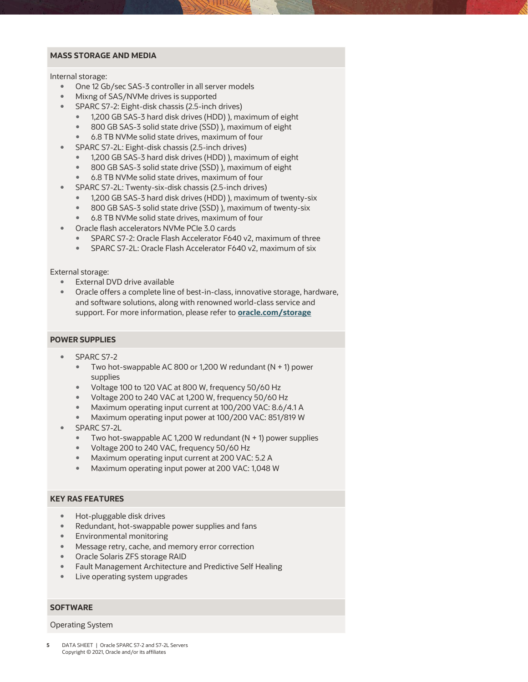#### **MASS STORAGE AND MEDIA**

Internal storage:

- One 12 Gb/sec SAS-3 controller in all server models
- Mixng of SAS/NVMe drives is supported
	- SPARC S7-2: Eight-disk chassis (2.5-inch drives)
		- 1,200 GB SAS-3 hard disk drives (HDD) ), maximum of eight
		- 800 GB SAS-3 solid state drive (SSD) ), maximum of eight
		- 6.8 TB NVMe solid state drives, maximum of four
- SPARC S7-2L: Eight-disk chassis (2.5-inch drives)
	- 1,200 GB SAS-3 hard disk drives (HDD) ), maximum of eight
	- 800 GB SAS-3 solid state drive (SSD) ), maximum of eight
	- 6.8 TB NVMe solid state drives, maximum of four
- SPARC S7-2L: Twenty-six-disk chassis (2.5-inch drives)
	- 1,200 GB SAS-3 hard disk drives (HDD) ), maximum of twenty-six
	- 800 GB SAS-3 solid state drive (SSD) ), maximum of twenty-six
	- 6.8 TB NVMe solid state drives, maximum of four
- Oracle flash accelerators NVMe PCIe 3.0 cards
	- SPARC S7-2: Oracle Flash Accelerator F640 v2, maximum of three
	- SPARC S7-2L: Oracle Flash Accelerator F640 v2, maximum of six

External storage:

- **External DVD drive available**
- Oracle offers a complete line of best-in-class, innovative storage, hardware, and software solutions, along with renowned world-class service and support. For more information, please refer to **[oracle.com/storage](http://www.oracle.com/storage)**

#### **POWER SUPPLIES**

- SPARC S7-2
	- $\bullet$  Two hot-swappable AC 800 or 1,200 W redundant (N + 1) power supplies
	- Voltage 100 to 120 VAC at 800 W, frequency 50/60 Hz
	- Voltage 200 to 240 VAC at 1,200 W, frequency 50/60 Hz
	- Maximum operating input current at 100/200 VAC: 8.6/4.1 A
	- Maximum operating input power at 100/200 VAC: 851/819 W
- SPARC S7-2L
	- $\bullet$  Two hot-swappable AC 1,200 W redundant (N + 1) power supplies
	- Voltage 200 to 240 VAC, frequency 50/60 Hz
	- Maximum operating input current at 200 VAC: 5.2 A
	- Maximum operating input power at 200 VAC: 1,048 W

#### **KEY RAS FEATURES**

- Hot-pluggable disk drives
- Redundant, hot-swappable power supplies and fans
- Environmental monitoring
- Message retry, cache, and memory error correction
- Oracle Solaris ZFS storage RAID
- Fault Management Architecture and Predictive Self Healing
- Live operating system upgrades

#### **SOFTWARE**

#### Operating System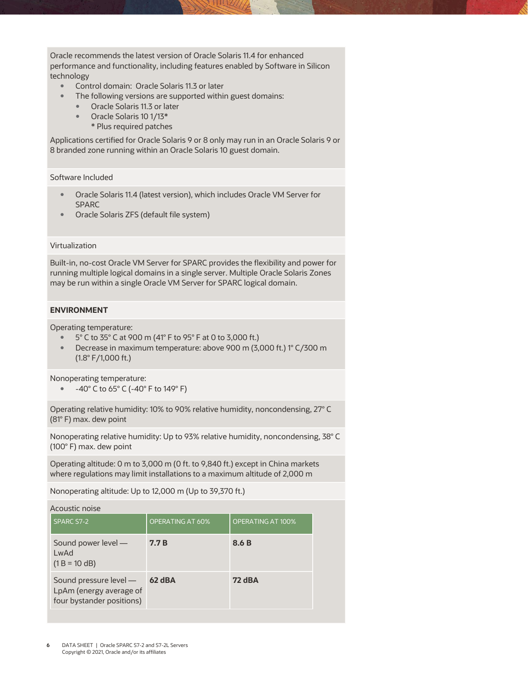Oracle recommends the latest version of Oracle Solaris 11.4 for enhanced performance and functionality, including features enabled by Software in Silicon technology

- Control domain: Oracle Solaris 11.3 or later
- The following versions are supported within guest domains:
	- Oracle Solaris 11.3 or later
		- Oracle Solaris 10 1/13\*
		- \* Plus required patches

Applications certified for Oracle Solaris 9 or 8 only may run in an Oracle Solaris 9 or 8 branded zone running within an Oracle Solaris 10 guest domain.

Software Included

- Oracle Solaris 11.4 (latest version), which includes Oracle VM Server for SPARC
- Oracle Solaris ZFS (default file system)

#### Virtualization

Built-in, no-cost Oracle VM Server for SPARC provides the flexibility and power for running multiple logical domains in a single server. Multiple Oracle Solaris Zones may be run within a single Oracle VM Server for SPARC logical domain.

#### **ENVIRONMENT**

Operating temperature:

- 5° C to 35° C at 900 m (41° F to 95° F at 0 to 3,000 ft.)
- Decrease in maximum temperature: above 900 m (3,000 ft.) 1° C/300 m (1.8° F/1,000 ft.)

Nonoperating temperature:

-40° C to 65° C (-40° F to 149° F)

Operating relative humidity: 10% to 90% relative humidity, noncondensing, 27° C (81° F) max. dew point

Nonoperating relative humidity: Up to 93% relative humidity, noncondensing, 38° C (100° F) max. dew point

Operating altitude: 0 m to 3,000 m (0 ft. to 9,840 ft.) except in China markets where regulations may limit installations to a maximum altitude of 2,000 m

Nonoperating altitude: Up to 12,000 m (Up to 39,370 ft.)

| Acoustic noise                                                                 |                  |                          |
|--------------------------------------------------------------------------------|------------------|--------------------------|
| SPARC S7-2                                                                     | OPERATING AT 60% | <b>OPERATING AT 100%</b> |
| Sound power level -<br>LwAd<br>$(1 B = 10 dB)$                                 | 7.7 B            | 8.6 B                    |
| Sound pressure level -<br>LpAm (energy average of<br>four bystander positions) | 62 dBA           | <b>72 dBA</b>            |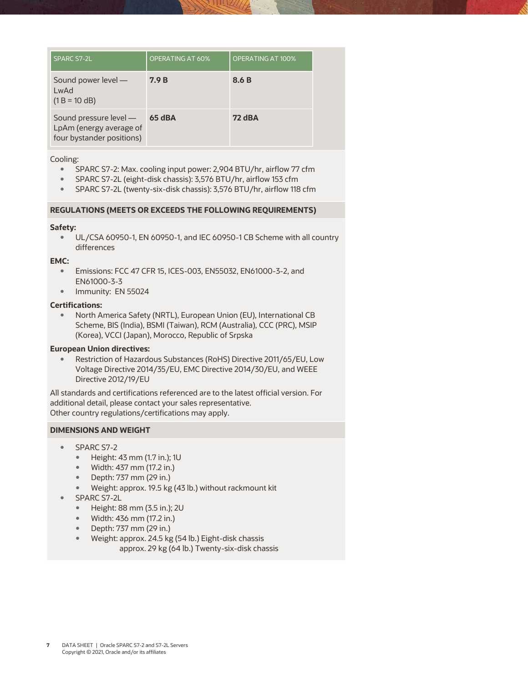| SPARC S7-2L                                                                    | <b>OPERATING AT 60%</b> | <b>OPERATING AT 100%</b> |
|--------------------------------------------------------------------------------|-------------------------|--------------------------|
| Sound power level -<br>LwAd<br>$(1 B = 10 dB)$                                 | 7.9 B                   | 8.6 B                    |
| Sound pressure level -<br>LpAm (energy average of<br>four bystander positions) | 65 dBA                  | <b>72 dBA</b>            |

Cooling:

- SPARC S7-2: Max. cooling input power: 2,904 BTU/hr, airflow 77 cfm
- SPARC S7-2L (eight-disk chassis): 3,576 BTU/hr, airflow 153 cfm
- SPARC S7-2L (twenty-six-disk chassis): 3,576 BTU/hr, airflow 118 cfm

#### **REGULATIONS (MEETS OR EXCEEDS THE FOLLOWING REQUIREMENTS)**

#### **Safety:**

 UL/CSA 60950-1, EN 60950-1, and IEC 60950-1 CB Scheme with all country differences

#### **EMC:**

- Emissions: FCC 47 CFR 15, ICES-003, EN55032, EN61000-3-2, and EN61000-3-3
- Immunity: EN 55024

#### **Certifications:**

 North America Safety (NRTL), European Union (EU), International CB Scheme, BIS (India), BSMI (Taiwan), RCM (Australia), CCC (PRC), MSIP (Korea), VCCI (Japan), Morocco, Republic of Srpska

#### **European Union directives:**

 Restriction of Hazardous Substances (RoHS) Directive 2011/65/EU, Low Voltage Directive 2014/35/EU, EMC Directive 2014/30/EU, and WEEE Directive 2012/19/EU

All standards and certifications referenced are to the latest official version. For additional detail, please contact your sales representative. Other country regulations/certifications may apply.

#### **DIMENSIONS AND WEIGHT**

- SPARC S7-2
	- Height: 43 mm (1.7 in.); 1U
	- Width: 437 mm (17.2 in.)
	- Depth: 737 mm (29 in.)
	- Weight: approx. 19.5 kg (43 lb.) without rackmount kit
- SPARC S7-2L
	- Height: 88 mm (3.5 in.); 2U
	- Width: 436 mm (17.2 in.)
	- Depth: 737 mm (29 in.)
	- Weight: approx. 24.5 kg (54 lb.) Eight-disk chassis approx. 29 kg (64 lb.) Twenty-six-disk chassis